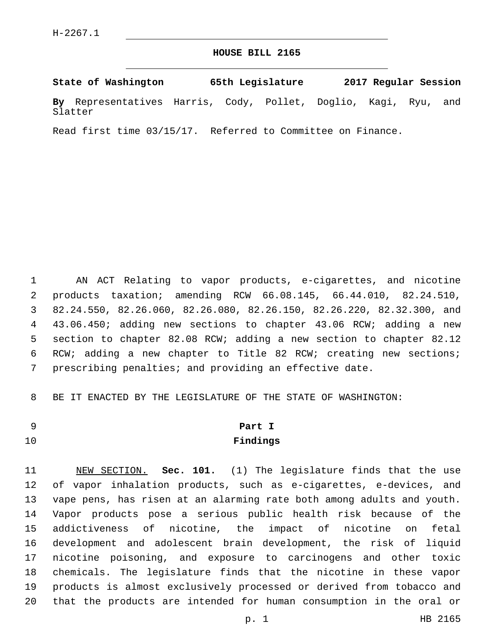#### **HOUSE BILL 2165**

**State of Washington 65th Legislature 2017 Regular Session By** Representatives Harris, Cody, Pollet, Doglio, Kagi, Ryu, and Slatter

Read first time 03/15/17. Referred to Committee on Finance.

 AN ACT Relating to vapor products, e-cigarettes, and nicotine products taxation; amending RCW 66.08.145, 66.44.010, 82.24.510, 82.24.550, 82.26.060, 82.26.080, 82.26.150, 82.26.220, 82.32.300, and 43.06.450; adding new sections to chapter 43.06 RCW; adding a new section to chapter 82.08 RCW; adding a new section to chapter 82.12 RCW; adding a new chapter to Title 82 RCW; creating new sections; prescribing penalties; and providing an effective date.

BE IT ENACTED BY THE LEGISLATURE OF THE STATE OF WASHINGTON:

## **Part I Findings**

 NEW SECTION. **Sec. 101.** (1) The legislature finds that the use of vapor inhalation products, such as e-cigarettes, e-devices, and vape pens, has risen at an alarming rate both among adults and youth. Vapor products pose a serious public health risk because of the addictiveness of nicotine, the impact of nicotine on fetal development and adolescent brain development, the risk of liquid nicotine poisoning, and exposure to carcinogens and other toxic chemicals. The legislature finds that the nicotine in these vapor products is almost exclusively processed or derived from tobacco and that the products are intended for human consumption in the oral or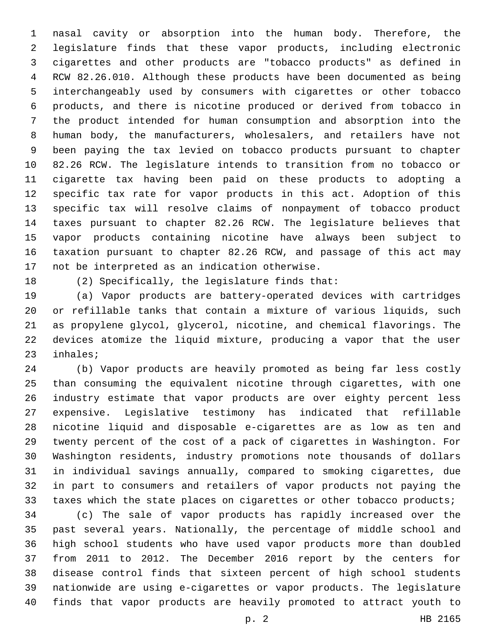nasal cavity or absorption into the human body. Therefore, the legislature finds that these vapor products, including electronic cigarettes and other products are "tobacco products" as defined in RCW 82.26.010. Although these products have been documented as being interchangeably used by consumers with cigarettes or other tobacco products, and there is nicotine produced or derived from tobacco in the product intended for human consumption and absorption into the human body, the manufacturers, wholesalers, and retailers have not been paying the tax levied on tobacco products pursuant to chapter 82.26 RCW. The legislature intends to transition from no tobacco or cigarette tax having been paid on these products to adopting a specific tax rate for vapor products in this act. Adoption of this specific tax will resolve claims of nonpayment of tobacco product taxes pursuant to chapter 82.26 RCW. The legislature believes that vapor products containing nicotine have always been subject to taxation pursuant to chapter 82.26 RCW, and passage of this act may 17 not be interpreted as an indication otherwise.

18  $(2)$  Specifically, the legislature finds that:

 (a) Vapor products are battery-operated devices with cartridges or refillable tanks that contain a mixture of various liquids, such as propylene glycol, glycerol, nicotine, and chemical flavorings. The devices atomize the liquid mixture, producing a vapor that the user 23 inhales;

 (b) Vapor products are heavily promoted as being far less costly than consuming the equivalent nicotine through cigarettes, with one industry estimate that vapor products are over eighty percent less expensive. Legislative testimony has indicated that refillable nicotine liquid and disposable e-cigarettes are as low as ten and twenty percent of the cost of a pack of cigarettes in Washington. For Washington residents, industry promotions note thousands of dollars in individual savings annually, compared to smoking cigarettes, due in part to consumers and retailers of vapor products not paying the taxes which the state places on cigarettes or other tobacco products;

 (c) The sale of vapor products has rapidly increased over the past several years. Nationally, the percentage of middle school and high school students who have used vapor products more than doubled from 2011 to 2012. The December 2016 report by the centers for disease control finds that sixteen percent of high school students nationwide are using e-cigarettes or vapor products. The legislature finds that vapor products are heavily promoted to attract youth to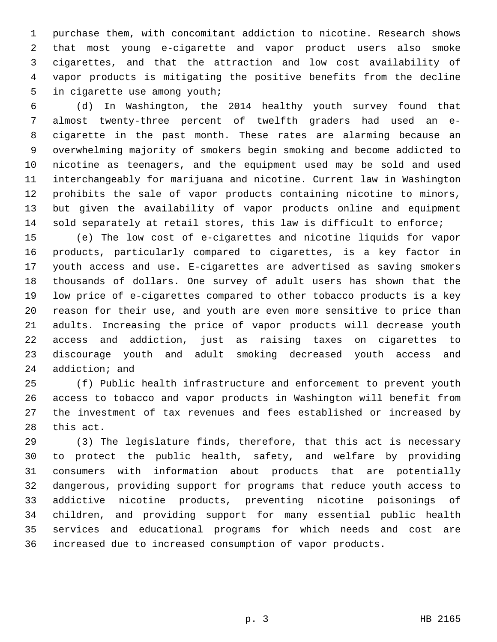purchase them, with concomitant addiction to nicotine. Research shows that most young e-cigarette and vapor product users also smoke cigarettes, and that the attraction and low cost availability of vapor products is mitigating the positive benefits from the decline 5 in cigarette use among youth;

 (d) In Washington, the 2014 healthy youth survey found that almost twenty-three percent of twelfth graders had used an e- cigarette in the past month. These rates are alarming because an overwhelming majority of smokers begin smoking and become addicted to nicotine as teenagers, and the equipment used may be sold and used interchangeably for marijuana and nicotine. Current law in Washington prohibits the sale of vapor products containing nicotine to minors, but given the availability of vapor products online and equipment sold separately at retail stores, this law is difficult to enforce;

 (e) The low cost of e-cigarettes and nicotine liquids for vapor products, particularly compared to cigarettes, is a key factor in youth access and use. E-cigarettes are advertised as saving smokers thousands of dollars. One survey of adult users has shown that the low price of e-cigarettes compared to other tobacco products is a key reason for their use, and youth are even more sensitive to price than adults. Increasing the price of vapor products will decrease youth access and addiction, just as raising taxes on cigarettes to discourage youth and adult smoking decreased youth access and 24 addiction; and

 (f) Public health infrastructure and enforcement to prevent youth access to tobacco and vapor products in Washington will benefit from the investment of tax revenues and fees established or increased by 28 this act.

 (3) The legislature finds, therefore, that this act is necessary to protect the public health, safety, and welfare by providing consumers with information about products that are potentially dangerous, providing support for programs that reduce youth access to addictive nicotine products, preventing nicotine poisonings of children, and providing support for many essential public health services and educational programs for which needs and cost are increased due to increased consumption of vapor products.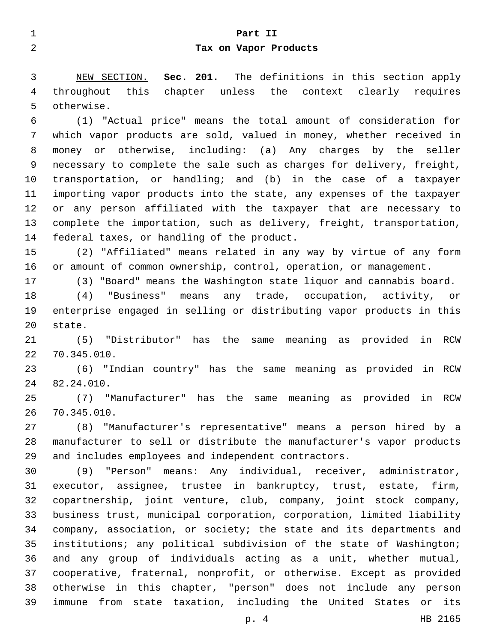| $\mathbf 1$ | Part II                                                               |
|-------------|-----------------------------------------------------------------------|
| 2           | Tax on Vapor Products                                                 |
|             |                                                                       |
| 3           | Sec. 201. The definitions in this section apply<br>NEW SECTION.       |
| 4           | throughout this chapter unless the context clearly requires           |
| 5           | otherwise.                                                            |
| 6           | (1) "Actual price" means the total amount of consideration for        |
| 7           | which vapor products are sold, valued in money, whether received in   |
| 8           | money or otherwise, including: (a) Any charges by the seller          |
| 9           | necessary to complete the sale such as charges for delivery, freight, |
| 10          | transportation, or handling; and (b) in the case of a taxpayer        |
| 11          | importing vapor products into the state, any expenses of the taxpayer |
| 12          | or any person affiliated with the taxpayer that are necessary to      |
| 13          | complete the importation, such as delivery, freight, transportation,  |
| 14          | federal taxes, or handling of the product.                            |
| 15          | (2) "Affiliated" means related in any way by virtue of any form       |
| 16          | or amount of common ownership, control, operation, or management.     |
| 17          | (3) "Board" means the Washington state liquor and cannabis board.     |
| 18          | (4) "Business" means any trade, occupation, activity, or              |
| 19          | enterprise engaged in selling or distributing vapor products in this  |
| 20          | state.                                                                |
| 21          | (5) "Distributor" has the same meaning as provided<br>in RCW          |
| 22          | 70.345.010.                                                           |
| 23          | (6) "Indian country" has the same meaning as provided in RCW          |
| 24          | 82.24.010.                                                            |
| 25          | (7) "Manufacturer" has the same meaning as provided in RCW            |
| 26          | 70.345.010.                                                           |
| 27          | (8) "Manufacturer's representative" means a person hired by a         |
| 28          | manufacturer to sell or distribute the manufacturer's vapor products  |
| 29          | and includes employees and independent contractors.                   |
| 30          | (9) "Person" means: Any individual, receiver, administrator,          |
| 31          | executor, assignee, trustee in bankruptcy, trust, estate, firm,       |
| 32          | copartnership, joint venture, club, company, joint stock company,     |
| 33          | business trust, municipal corporation, corporation, limited liability |
| 34          | company, association, or society; the state and its departments and   |
| 35          | institutions; any political subdivision of the state of Washington;   |
| 36          | and any group of individuals acting as a unit, whether mutual,        |
| 37          | cooperative, fraternal, nonprofit, or otherwise. Except as provided   |
| 38          | otherwise in this chapter, "person" does not include any person       |
| 39          | immune from state taxation, including the United States or its        |
|             | HB 2165<br>p. 4                                                       |
|             |                                                                       |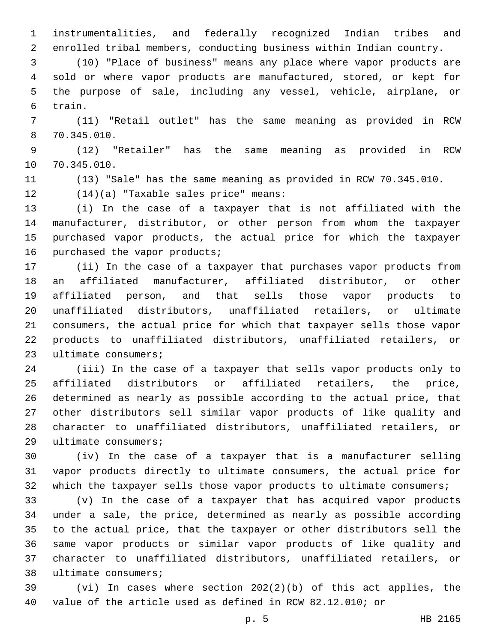instrumentalities, and federally recognized Indian tribes and enrolled tribal members, conducting business within Indian country.

 (10) "Place of business" means any place where vapor products are sold or where vapor products are manufactured, stored, or kept for the purpose of sale, including any vessel, vehicle, airplane, or 6 train.

 (11) "Retail outlet" has the same meaning as provided in RCW 70.345.010.8

 (12) "Retailer" has the same meaning as provided in RCW 10 70.345.010.

(13) "Sale" has the same meaning as provided in RCW 70.345.010.

(14)(a) "Taxable sales price" means:12

 (i) In the case of a taxpayer that is not affiliated with the manufacturer, distributor, or other person from whom the taxpayer purchased vapor products, the actual price for which the taxpayer 16 purchased the vapor products;

 (ii) In the case of a taxpayer that purchases vapor products from an affiliated manufacturer, affiliated distributor, or other affiliated person, and that sells those vapor products to unaffiliated distributors, unaffiliated retailers, or ultimate consumers, the actual price for which that taxpayer sells those vapor products to unaffiliated distributors, unaffiliated retailers, or 23 ultimate consumers;

 (iii) In the case of a taxpayer that sells vapor products only to affiliated distributors or affiliated retailers, the price, determined as nearly as possible according to the actual price, that other distributors sell similar vapor products of like quality and character to unaffiliated distributors, unaffiliated retailers, or 29 ultimate consumers;

 (iv) In the case of a taxpayer that is a manufacturer selling vapor products directly to ultimate consumers, the actual price for 32 which the taxpayer sells those vapor products to ultimate consumers;

 (v) In the case of a taxpayer that has acquired vapor products under a sale, the price, determined as nearly as possible according to the actual price, that the taxpayer or other distributors sell the same vapor products or similar vapor products of like quality and character to unaffiliated distributors, unaffiliated retailers, or 38 ultimate consumers;

 (vi) In cases where section 202(2)(b) of this act applies, the value of the article used as defined in RCW 82.12.010; or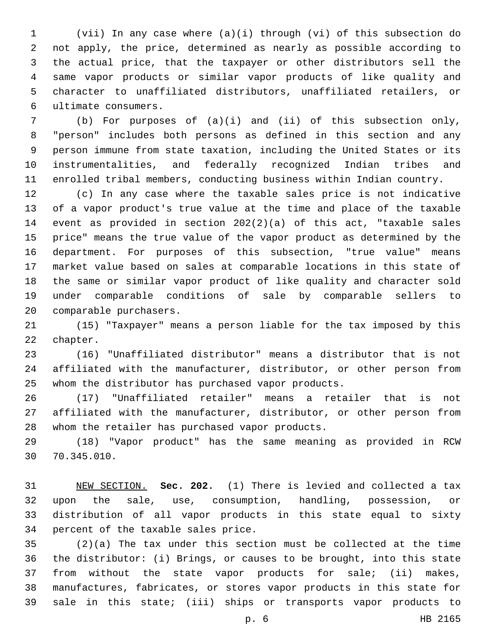(vii) In any case where (a)(i) through (vi) of this subsection do not apply, the price, determined as nearly as possible according to the actual price, that the taxpayer or other distributors sell the same vapor products or similar vapor products of like quality and character to unaffiliated distributors, unaffiliated retailers, or ultimate consumers.6

 (b) For purposes of (a)(i) and (ii) of this subsection only, "person" includes both persons as defined in this section and any person immune from state taxation, including the United States or its instrumentalities, and federally recognized Indian tribes and enrolled tribal members, conducting business within Indian country.

 (c) In any case where the taxable sales price is not indicative of a vapor product's true value at the time and place of the taxable event as provided in section 202(2)(a) of this act, "taxable sales price" means the true value of the vapor product as determined by the department. For purposes of this subsection, "true value" means market value based on sales at comparable locations in this state of the same or similar vapor product of like quality and character sold under comparable conditions of sale by comparable sellers to 20 comparable purchasers.

 (15) "Taxpayer" means a person liable for the tax imposed by this 22 chapter.

 (16) "Unaffiliated distributor" means a distributor that is not affiliated with the manufacturer, distributor, or other person from whom the distributor has purchased vapor products.

 (17) "Unaffiliated retailer" means a retailer that is not affiliated with the manufacturer, distributor, or other person from 28 whom the retailer has purchased vapor products.

 (18) "Vapor product" has the same meaning as provided in RCW 30 70.345.010.

 NEW SECTION. **Sec. 202.** (1) There is levied and collected a tax upon the sale, use, consumption, handling, possession, or distribution of all vapor products in this state equal to sixty percent of the taxable sales price.

 (2)(a) The tax under this section must be collected at the time the distributor: (i) Brings, or causes to be brought, into this state from without the state vapor products for sale; (ii) makes, manufactures, fabricates, or stores vapor products in this state for sale in this state; (iii) ships or transports vapor products to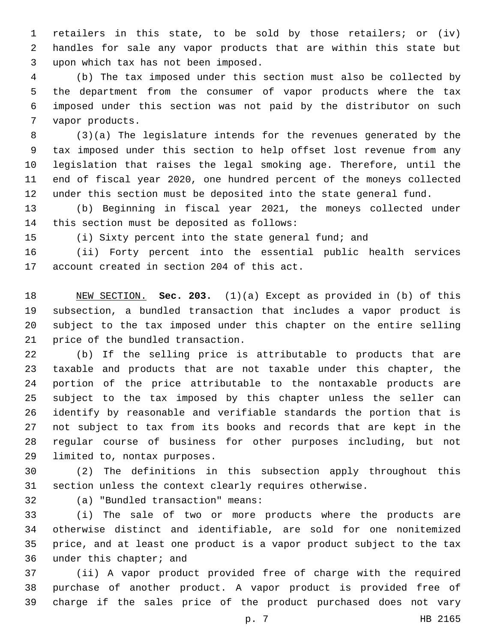retailers in this state, to be sold by those retailers; or (iv) handles for sale any vapor products that are within this state but upon which tax has not been imposed.3

 (b) The tax imposed under this section must also be collected by the department from the consumer of vapor products where the tax imposed under this section was not paid by the distributor on such 7 vapor products.

 (3)(a) The legislature intends for the revenues generated by the tax imposed under this section to help offset lost revenue from any legislation that raises the legal smoking age. Therefore, until the end of fiscal year 2020, one hundred percent of the moneys collected under this section must be deposited into the state general fund.

 (b) Beginning in fiscal year 2021, the moneys collected under 14 this section must be deposited as follows:

(i) Sixty percent into the state general fund; and

 (ii) Forty percent into the essential public health services 17 account created in section 204 of this act.

 NEW SECTION. **Sec. 203.** (1)(a) Except as provided in (b) of this subsection, a bundled transaction that includes a vapor product is subject to the tax imposed under this chapter on the entire selling price of the bundled transaction.

 (b) If the selling price is attributable to products that are taxable and products that are not taxable under this chapter, the portion of the price attributable to the nontaxable products are subject to the tax imposed by this chapter unless the seller can identify by reasonable and verifiable standards the portion that is not subject to tax from its books and records that are kept in the regular course of business for other purposes including, but not 29 limited to, nontax purposes.

 (2) The definitions in this subsection apply throughout this section unless the context clearly requires otherwise.

(a) "Bundled transaction" means:32

 (i) The sale of two or more products where the products are otherwise distinct and identifiable, are sold for one nonitemized price, and at least one product is a vapor product subject to the tax 36 under this chapter; and

 (ii) A vapor product provided free of charge with the required purchase of another product. A vapor product is provided free of charge if the sales price of the product purchased does not vary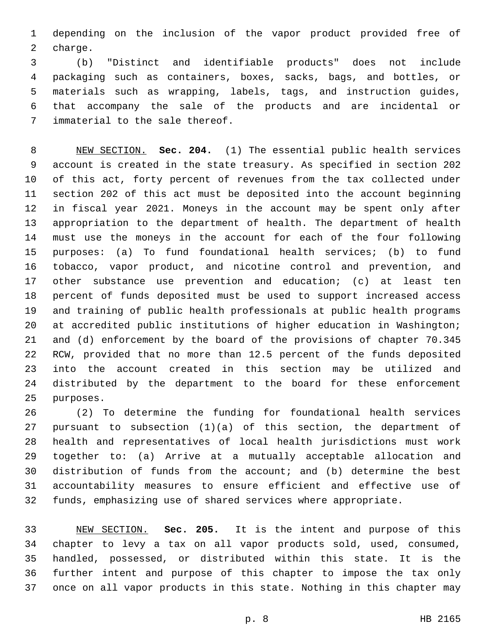depending on the inclusion of the vapor product provided free of 2 charge.

 (b) "Distinct and identifiable products" does not include packaging such as containers, boxes, sacks, bags, and bottles, or materials such as wrapping, labels, tags, and instruction guides, that accompany the sale of the products and are incidental or 7 immaterial to the sale thereof.

 NEW SECTION. **Sec. 204.** (1) The essential public health services account is created in the state treasury. As specified in section 202 of this act, forty percent of revenues from the tax collected under section 202 of this act must be deposited into the account beginning in fiscal year 2021. Moneys in the account may be spent only after appropriation to the department of health. The department of health must use the moneys in the account for each of the four following purposes: (a) To fund foundational health services; (b) to fund tobacco, vapor product, and nicotine control and prevention, and 17 other substance use prevention and education; (c) at least ten percent of funds deposited must be used to support increased access and training of public health professionals at public health programs at accredited public institutions of higher education in Washington; and (d) enforcement by the board of the provisions of chapter 70.345 RCW, provided that no more than 12.5 percent of the funds deposited into the account created in this section may be utilized and distributed by the department to the board for these enforcement purposes.

 (2) To determine the funding for foundational health services pursuant to subsection (1)(a) of this section, the department of health and representatives of local health jurisdictions must work together to: (a) Arrive at a mutually acceptable allocation and distribution of funds from the account; and (b) determine the best accountability measures to ensure efficient and effective use of funds, emphasizing use of shared services where appropriate.

 NEW SECTION. **Sec. 205.** It is the intent and purpose of this chapter to levy a tax on all vapor products sold, used, consumed, handled, possessed, or distributed within this state. It is the further intent and purpose of this chapter to impose the tax only once on all vapor products in this state. Nothing in this chapter may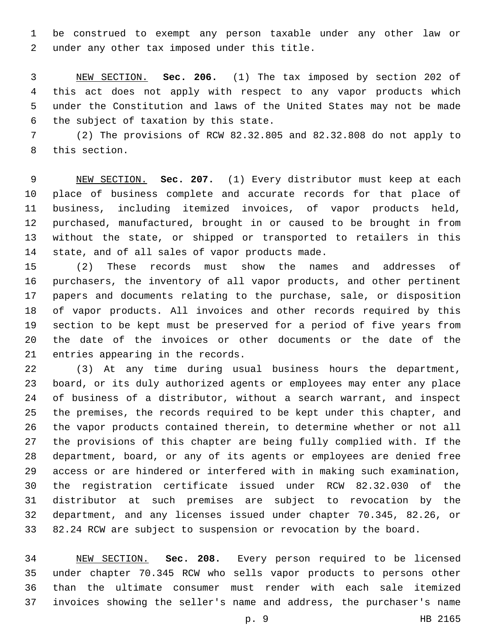be construed to exempt any person taxable under any other law or 2 under any other tax imposed under this title.

 NEW SECTION. **Sec. 206.** (1) The tax imposed by section 202 of this act does not apply with respect to any vapor products which under the Constitution and laws of the United States may not be made the subject of taxation by this state.

 (2) The provisions of RCW 82.32.805 and 82.32.808 do not apply to 8 this section.

 NEW SECTION. **Sec. 207.** (1) Every distributor must keep at each place of business complete and accurate records for that place of business, including itemized invoices, of vapor products held, purchased, manufactured, brought in or caused to be brought in from without the state, or shipped or transported to retailers in this state, and of all sales of vapor products made.

 (2) These records must show the names and addresses of purchasers, the inventory of all vapor products, and other pertinent papers and documents relating to the purchase, sale, or disposition of vapor products. All invoices and other records required by this section to be kept must be preserved for a period of five years from the date of the invoices or other documents or the date of the 21 entries appearing in the records.

 (3) At any time during usual business hours the department, board, or its duly authorized agents or employees may enter any place of business of a distributor, without a search warrant, and inspect the premises, the records required to be kept under this chapter, and the vapor products contained therein, to determine whether or not all the provisions of this chapter are being fully complied with. If the department, board, or any of its agents or employees are denied free access or are hindered or interfered with in making such examination, the registration certificate issued under RCW 82.32.030 of the distributor at such premises are subject to revocation by the department, and any licenses issued under chapter 70.345, 82.26, or 82.24 RCW are subject to suspension or revocation by the board.

 NEW SECTION. **Sec. 208.** Every person required to be licensed under chapter 70.345 RCW who sells vapor products to persons other than the ultimate consumer must render with each sale itemized invoices showing the seller's name and address, the purchaser's name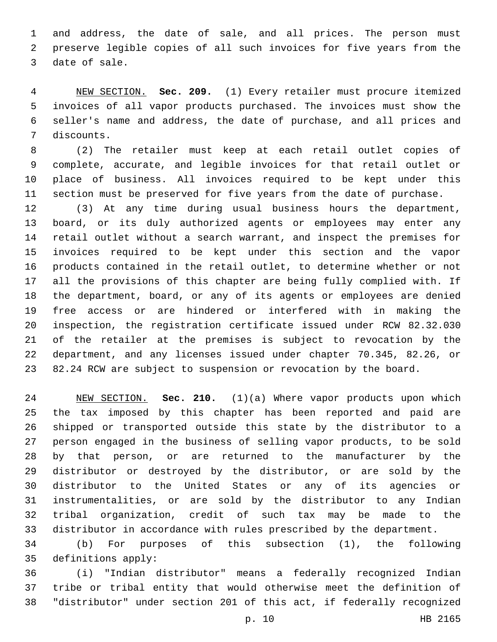and address, the date of sale, and all prices. The person must preserve legible copies of all such invoices for five years from the 3 date of sale.

 NEW SECTION. **Sec. 209.** (1) Every retailer must procure itemized invoices of all vapor products purchased. The invoices must show the seller's name and address, the date of purchase, and all prices and discounts.

 (2) The retailer must keep at each retail outlet copies of complete, accurate, and legible invoices for that retail outlet or place of business. All invoices required to be kept under this section must be preserved for five years from the date of purchase.

 (3) At any time during usual business hours the department, board, or its duly authorized agents or employees may enter any retail outlet without a search warrant, and inspect the premises for invoices required to be kept under this section and the vapor products contained in the retail outlet, to determine whether or not all the provisions of this chapter are being fully complied with. If the department, board, or any of its agents or employees are denied free access or are hindered or interfered with in making the inspection, the registration certificate issued under RCW 82.32.030 of the retailer at the premises is subject to revocation by the department, and any licenses issued under chapter 70.345, 82.26, or 82.24 RCW are subject to suspension or revocation by the board.

 NEW SECTION. **Sec. 210.** (1)(a) Where vapor products upon which the tax imposed by this chapter has been reported and paid are shipped or transported outside this state by the distributor to a person engaged in the business of selling vapor products, to be sold by that person, or are returned to the manufacturer by the distributor or destroyed by the distributor, or are sold by the distributor to the United States or any of its agencies or instrumentalities, or are sold by the distributor to any Indian tribal organization, credit of such tax may be made to the distributor in accordance with rules prescribed by the department.

 (b) For purposes of this subsection (1), the following 35 definitions apply:

 (i) "Indian distributor" means a federally recognized Indian tribe or tribal entity that would otherwise meet the definition of "distributor" under section 201 of this act, if federally recognized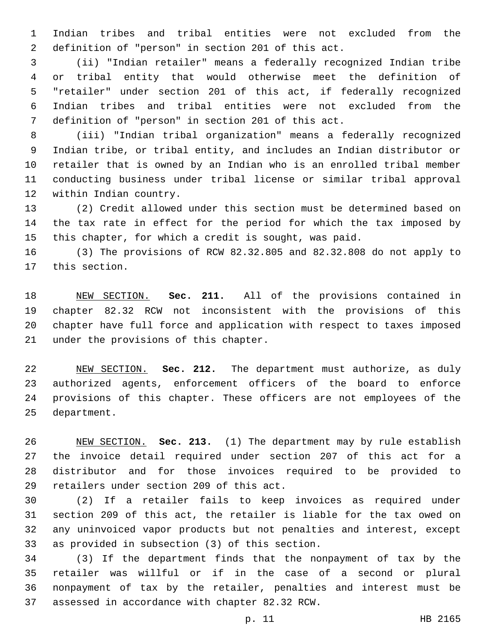Indian tribes and tribal entities were not excluded from the 2 definition of "person" in section 201 of this act.

 (ii) "Indian retailer" means a federally recognized Indian tribe or tribal entity that would otherwise meet the definition of "retailer" under section 201 of this act, if federally recognized Indian tribes and tribal entities were not excluded from the 7 definition of "person" in section 201 of this act.

 (iii) "Indian tribal organization" means a federally recognized Indian tribe, or tribal entity, and includes an Indian distributor or retailer that is owned by an Indian who is an enrolled tribal member conducting business under tribal license or similar tribal approval 12 within Indian country.

 (2) Credit allowed under this section must be determined based on the tax rate in effect for the period for which the tax imposed by this chapter, for which a credit is sought, was paid.

 (3) The provisions of RCW 82.32.805 and 82.32.808 do not apply to 17 this section.

 NEW SECTION. **Sec. 211.** All of the provisions contained in chapter 82.32 RCW not inconsistent with the provisions of this chapter have full force and application with respect to taxes imposed under the provisions of this chapter.

 NEW SECTION. **Sec. 212.** The department must authorize, as duly authorized agents, enforcement officers of the board to enforce provisions of this chapter. These officers are not employees of the department.

 NEW SECTION. **Sec. 213.** (1) The department may by rule establish the invoice detail required under section 207 of this act for a distributor and for those invoices required to be provided to retailers under section 209 of this act.

 (2) If a retailer fails to keep invoices as required under section 209 of this act, the retailer is liable for the tax owed on any uninvoiced vapor products but not penalties and interest, except 33 as provided in subsection (3) of this section.

 (3) If the department finds that the nonpayment of tax by the retailer was willful or if in the case of a second or plural nonpayment of tax by the retailer, penalties and interest must be 37 assessed in accordance with chapter 82.32 RCW.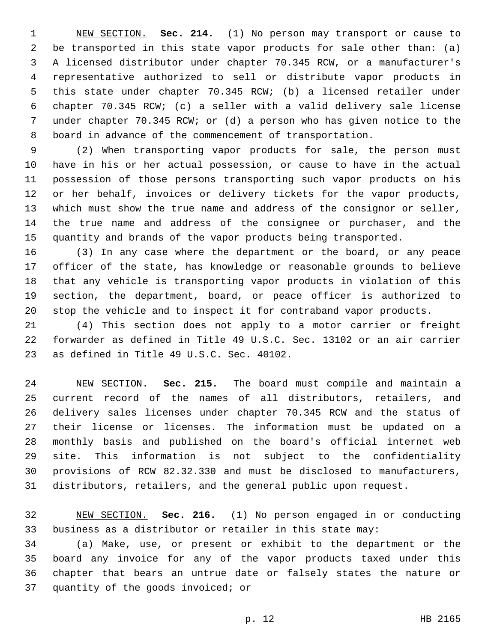NEW SECTION. **Sec. 214.** (1) No person may transport or cause to be transported in this state vapor products for sale other than: (a) A licensed distributor under chapter 70.345 RCW, or a manufacturer's representative authorized to sell or distribute vapor products in this state under chapter 70.345 RCW; (b) a licensed retailer under chapter 70.345 RCW; (c) a seller with a valid delivery sale license under chapter 70.345 RCW; or (d) a person who has given notice to the board in advance of the commencement of transportation.

 (2) When transporting vapor products for sale, the person must have in his or her actual possession, or cause to have in the actual possession of those persons transporting such vapor products on his or her behalf, invoices or delivery tickets for the vapor products, which must show the true name and address of the consignor or seller, the true name and address of the consignee or purchaser, and the quantity and brands of the vapor products being transported.

 (3) In any case where the department or the board, or any peace officer of the state, has knowledge or reasonable grounds to believe that any vehicle is transporting vapor products in violation of this section, the department, board, or peace officer is authorized to stop the vehicle and to inspect it for contraband vapor products.

 (4) This section does not apply to a motor carrier or freight forwarder as defined in Title 49 U.S.C. Sec. 13102 or an air carrier 23 as defined in Title 49 U.S.C. Sec. 40102.

 NEW SECTION. **Sec. 215.** The board must compile and maintain a current record of the names of all distributors, retailers, and delivery sales licenses under chapter 70.345 RCW and the status of their license or licenses. The information must be updated on a monthly basis and published on the board's official internet web site. This information is not subject to the confidentiality provisions of RCW 82.32.330 and must be disclosed to manufacturers, distributors, retailers, and the general public upon request.

 NEW SECTION. **Sec. 216.** (1) No person engaged in or conducting business as a distributor or retailer in this state may:

 (a) Make, use, or present or exhibit to the department or the board any invoice for any of the vapor products taxed under this chapter that bears an untrue date or falsely states the nature or 37 quantity of the goods invoiced; or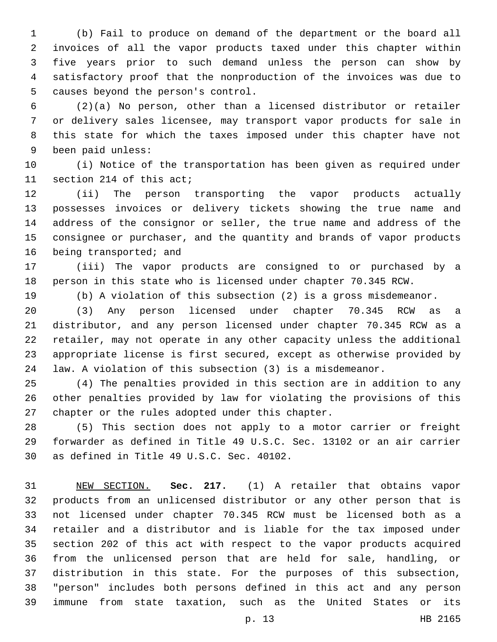(b) Fail to produce on demand of the department or the board all invoices of all the vapor products taxed under this chapter within five years prior to such demand unless the person can show by satisfactory proof that the nonproduction of the invoices was due to 5 causes beyond the person's control.

 (2)(a) No person, other than a licensed distributor or retailer or delivery sales licensee, may transport vapor products for sale in this state for which the taxes imposed under this chapter have not 9 been paid unless:

 (i) Notice of the transportation has been given as required under 11 section 214 of this act;

 (ii) The person transporting the vapor products actually possesses invoices or delivery tickets showing the true name and address of the consignor or seller, the true name and address of the consignee or purchaser, and the quantity and brands of vapor products 16 being transported; and

 (iii) The vapor products are consigned to or purchased by a person in this state who is licensed under chapter 70.345 RCW.

(b) A violation of this subsection (2) is a gross misdemeanor.

 (3) Any person licensed under chapter 70.345 RCW as a distributor, and any person licensed under chapter 70.345 RCW as a retailer, may not operate in any other capacity unless the additional appropriate license is first secured, except as otherwise provided by law. A violation of this subsection (3) is a misdemeanor.

 (4) The penalties provided in this section are in addition to any other penalties provided by law for violating the provisions of this 27 chapter or the rules adopted under this chapter.

 (5) This section does not apply to a motor carrier or freight forwarder as defined in Title 49 U.S.C. Sec. 13102 or an air carrier 30 as defined in Title 49 U.S.C. Sec. 40102.

 NEW SECTION. **Sec. 217.** (1) A retailer that obtains vapor products from an unlicensed distributor or any other person that is not licensed under chapter 70.345 RCW must be licensed both as a retailer and a distributor and is liable for the tax imposed under section 202 of this act with respect to the vapor products acquired from the unlicensed person that are held for sale, handling, or distribution in this state. For the purposes of this subsection, "person" includes both persons defined in this act and any person immune from state taxation, such as the United States or its

p. 13 HB 2165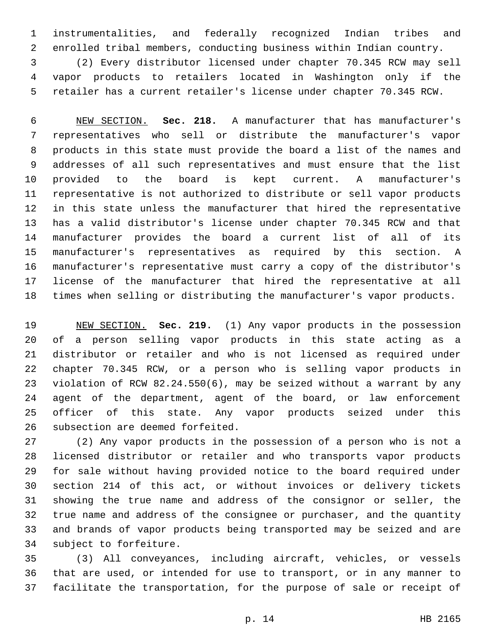instrumentalities, and federally recognized Indian tribes and enrolled tribal members, conducting business within Indian country.

 (2) Every distributor licensed under chapter 70.345 RCW may sell vapor products to retailers located in Washington only if the retailer has a current retailer's license under chapter 70.345 RCW.

 NEW SECTION. **Sec. 218.** A manufacturer that has manufacturer's representatives who sell or distribute the manufacturer's vapor products in this state must provide the board a list of the names and addresses of all such representatives and must ensure that the list provided to the board is kept current. A manufacturer's representative is not authorized to distribute or sell vapor products in this state unless the manufacturer that hired the representative has a valid distributor's license under chapter 70.345 RCW and that manufacturer provides the board a current list of all of its manufacturer's representatives as required by this section. A manufacturer's representative must carry a copy of the distributor's license of the manufacturer that hired the representative at all times when selling or distributing the manufacturer's vapor products.

 NEW SECTION. **Sec. 219.** (1) Any vapor products in the possession of a person selling vapor products in this state acting as a distributor or retailer and who is not licensed as required under chapter 70.345 RCW, or a person who is selling vapor products in violation of RCW 82.24.550(6), may be seized without a warrant by any agent of the department, agent of the board, or law enforcement officer of this state. Any vapor products seized under this subsection are deemed forfeited.

 (2) Any vapor products in the possession of a person who is not a licensed distributor or retailer and who transports vapor products for sale without having provided notice to the board required under section 214 of this act, or without invoices or delivery tickets showing the true name and address of the consignor or seller, the true name and address of the consignee or purchaser, and the quantity and brands of vapor products being transported may be seized and are 34 subject to forfeiture.

 (3) All conveyances, including aircraft, vehicles, or vessels that are used, or intended for use to transport, or in any manner to facilitate the transportation, for the purpose of sale or receipt of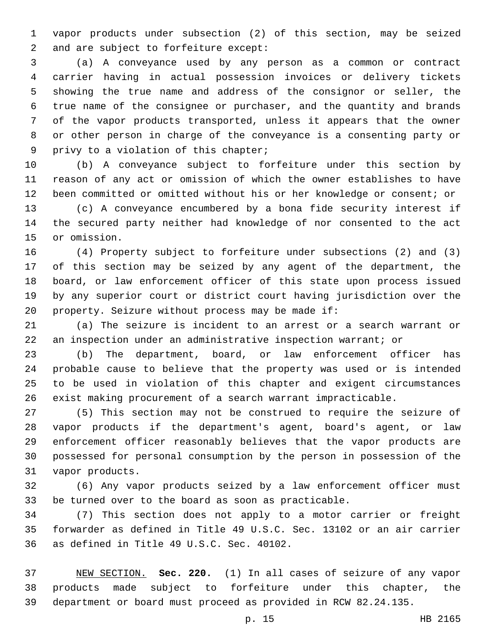vapor products under subsection (2) of this section, may be seized 2 and are subject to forfeiture except:

 (a) A conveyance used by any person as a common or contract carrier having in actual possession invoices or delivery tickets showing the true name and address of the consignor or seller, the true name of the consignee or purchaser, and the quantity and brands of the vapor products transported, unless it appears that the owner or other person in charge of the conveyance is a consenting party or 9 privy to a violation of this chapter;

 (b) A conveyance subject to forfeiture under this section by reason of any act or omission of which the owner establishes to have been committed or omitted without his or her knowledge or consent; or

 (c) A conveyance encumbered by a bona fide security interest if the secured party neither had knowledge of nor consented to the act 15 or omission.

 (4) Property subject to forfeiture under subsections (2) and (3) of this section may be seized by any agent of the department, the board, or law enforcement officer of this state upon process issued by any superior court or district court having jurisdiction over the 20 property. Seizure without process may be made if:

 (a) The seizure is incident to an arrest or a search warrant or an inspection under an administrative inspection warrant; or

 (b) The department, board, or law enforcement officer has probable cause to believe that the property was used or is intended to be used in violation of this chapter and exigent circumstances exist making procurement of a search warrant impracticable.

 (5) This section may not be construed to require the seizure of vapor products if the department's agent, board's agent, or law enforcement officer reasonably believes that the vapor products are possessed for personal consumption by the person in possession of the 31 vapor products.

 (6) Any vapor products seized by a law enforcement officer must be turned over to the board as soon as practicable.

 (7) This section does not apply to a motor carrier or freight forwarder as defined in Title 49 U.S.C. Sec. 13102 or an air carrier 36 as defined in Title 49 U.S.C. Sec. 40102.

 NEW SECTION. **Sec. 220.** (1) In all cases of seizure of any vapor products made subject to forfeiture under this chapter, the department or board must proceed as provided in RCW 82.24.135.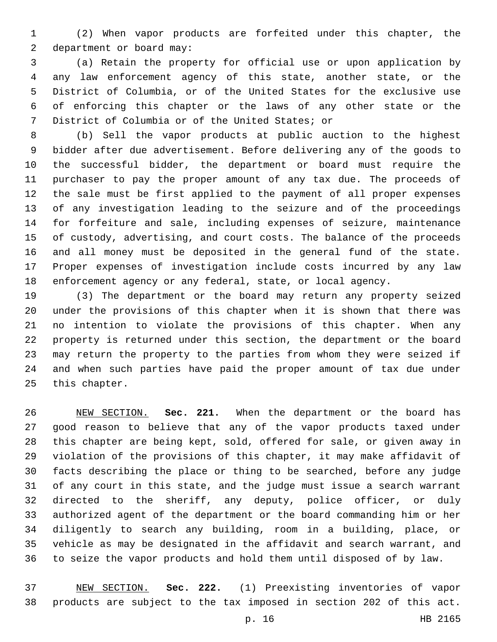(2) When vapor products are forfeited under this chapter, the 2 department or board may:

 (a) Retain the property for official use or upon application by any law enforcement agency of this state, another state, or the District of Columbia, or of the United States for the exclusive use of enforcing this chapter or the laws of any other state or the 7 District of Columbia or of the United States; or

 (b) Sell the vapor products at public auction to the highest bidder after due advertisement. Before delivering any of the goods to the successful bidder, the department or board must require the purchaser to pay the proper amount of any tax due. The proceeds of the sale must be first applied to the payment of all proper expenses of any investigation leading to the seizure and of the proceedings for forfeiture and sale, including expenses of seizure, maintenance of custody, advertising, and court costs. The balance of the proceeds and all money must be deposited in the general fund of the state. Proper expenses of investigation include costs incurred by any law enforcement agency or any federal, state, or local agency.

 (3) The department or the board may return any property seized under the provisions of this chapter when it is shown that there was no intention to violate the provisions of this chapter. When any property is returned under this section, the department or the board may return the property to the parties from whom they were seized if and when such parties have paid the proper amount of tax due under 25 this chapter.

 NEW SECTION. **Sec. 221.** When the department or the board has good reason to believe that any of the vapor products taxed under this chapter are being kept, sold, offered for sale, or given away in violation of the provisions of this chapter, it may make affidavit of facts describing the place or thing to be searched, before any judge of any court in this state, and the judge must issue a search warrant directed to the sheriff, any deputy, police officer, or duly authorized agent of the department or the board commanding him or her diligently to search any building, room in a building, place, or vehicle as may be designated in the affidavit and search warrant, and to seize the vapor products and hold them until disposed of by law.

 NEW SECTION. **Sec. 222.** (1) Preexisting inventories of vapor products are subject to the tax imposed in section 202 of this act.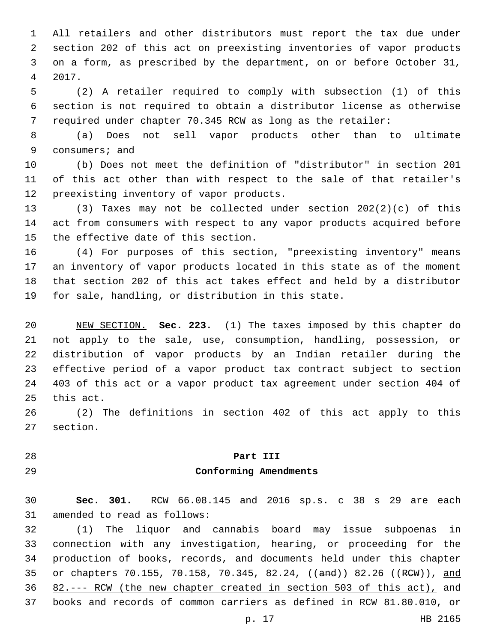All retailers and other distributors must report the tax due under section 202 of this act on preexisting inventories of vapor products on a form, as prescribed by the department, on or before October 31, 2017.4

 (2) A retailer required to comply with subsection (1) of this section is not required to obtain a distributor license as otherwise required under chapter 70.345 RCW as long as the retailer:

 (a) Does not sell vapor products other than to ultimate 9 consumers; and

 (b) Does not meet the definition of "distributor" in section 201 of this act other than with respect to the sale of that retailer's 12 preexisting inventory of vapor products.

 (3) Taxes may not be collected under section 202(2)(c) of this act from consumers with respect to any vapor products acquired before 15 the effective date of this section.

 (4) For purposes of this section, "preexisting inventory" means an inventory of vapor products located in this state as of the moment that section 202 of this act takes effect and held by a distributor for sale, handling, or distribution in this state.

 NEW SECTION. **Sec. 223.** (1) The taxes imposed by this chapter do not apply to the sale, use, consumption, handling, possession, or distribution of vapor products by an Indian retailer during the effective period of a vapor product tax contract subject to section 403 of this act or a vapor product tax agreement under section 404 of this act.

 (2) The definitions in section 402 of this act apply to this 27 section.

### **Part III Conforming Amendments**

 **Sec. 301.** RCW 66.08.145 and 2016 sp.s. c 38 s 29 are each 31 amended to read as follows:

 (1) The liquor and cannabis board may issue subpoenas in connection with any investigation, hearing, or proceeding for the production of books, records, and documents held under this chapter 35 or chapters 70.155, 70.158, 70.345, 82.24, ((and)) 82.26 ((RCW)), and 82.--- RCW (the new chapter created in section 503 of this act), and books and records of common carriers as defined in RCW 81.80.010, or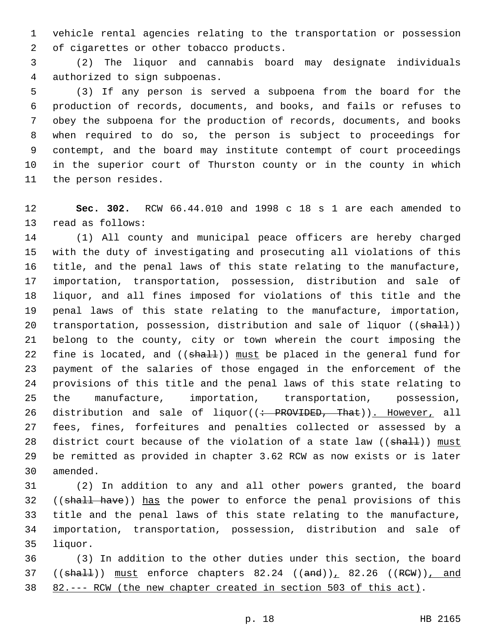vehicle rental agencies relating to the transportation or possession 2 of cigarettes or other tobacco products.

 (2) The liquor and cannabis board may designate individuals 4 authorized to sign subpoenas.

 (3) If any person is served a subpoena from the board for the production of records, documents, and books, and fails or refuses to obey the subpoena for the production of records, documents, and books when required to do so, the person is subject to proceedings for contempt, and the board may institute contempt of court proceedings in the superior court of Thurston county or in the county in which 11 the person resides.

 **Sec. 302.** RCW 66.44.010 and 1998 c 18 s 1 are each amended to 13 read as follows:

 (1) All county and municipal peace officers are hereby charged with the duty of investigating and prosecuting all violations of this title, and the penal laws of this state relating to the manufacture, importation, transportation, possession, distribution and sale of liquor, and all fines imposed for violations of this title and the penal laws of this state relating to the manufacture, importation, 20 transportation, possession, distribution and sale of liquor ((shall)) belong to the county, city or town wherein the court imposing the 22 fine is located, and ((shall)) must be placed in the general fund for payment of the salaries of those engaged in the enforcement of the provisions of this title and the penal laws of this state relating to the manufacture, importation, transportation, possession, 26 distribution and sale of liquor((: PROVIDED, That)). However, all fees, fines, forfeitures and penalties collected or assessed by a 28 district court because of the violation of a state law ((shall)) must be remitted as provided in chapter 3.62 RCW as now exists or is later 30 amended.

 (2) In addition to any and all other powers granted, the board 32 ((shall have)) has the power to enforce the penal provisions of this title and the penal laws of this state relating to the manufacture, importation, transportation, possession, distribution and sale of 35 liquor.

 (3) In addition to the other duties under this section, the board ((shall)) must enforce chapters  $82.24$  ((and)),  $82.26$  ((RCW)), and 82.--- RCW (the new chapter created in section 503 of this act).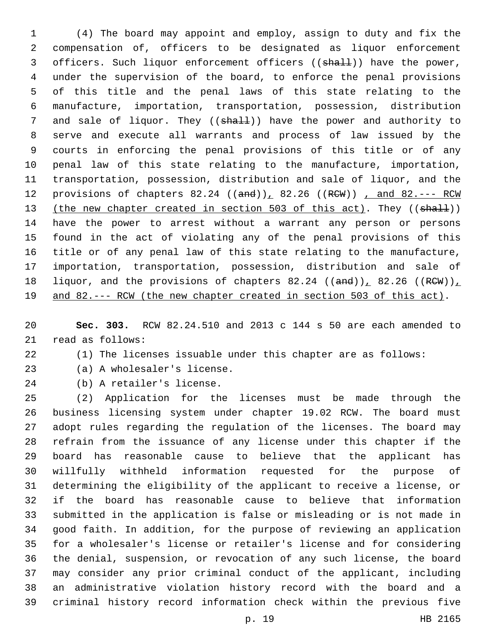(4) The board may appoint and employ, assign to duty and fix the compensation of, officers to be designated as liquor enforcement 3 officers. Such liquor enforcement officers ((shall)) have the power, under the supervision of the board, to enforce the penal provisions of this title and the penal laws of this state relating to the manufacture, importation, transportation, possession, distribution 7 and sale of liquor. They ((shall)) have the power and authority to serve and execute all warrants and process of law issued by the courts in enforcing the penal provisions of this title or of any penal law of this state relating to the manufacture, importation, transportation, possession, distribution and sale of liquor, and the 12 provisions of chapters 82.24 ((and)), 82.26 ((RCW)), and 82.--- RCW 13 (the new chapter created in section 503 of this act). They ((shall)) have the power to arrest without a warrant any person or persons found in the act of violating any of the penal provisions of this title or of any penal law of this state relating to the manufacture, importation, transportation, possession, distribution and sale of 18 liquor, and the provisions of chapters 82.24  $((and))_1$  82.26  $((RCW))_1$ and 82.--- RCW (the new chapter created in section 503 of this act).

 **Sec. 303.** RCW 82.24.510 and 2013 c 144 s 50 are each amended to 21 read as follows:

(1) The licenses issuable under this chapter are as follows:

- 23 (a) A wholesaler's license.
- 24 (b) A retailer's license.

 (2) Application for the licenses must be made through the business licensing system under chapter 19.02 RCW. The board must adopt rules regarding the regulation of the licenses. The board may refrain from the issuance of any license under this chapter if the board has reasonable cause to believe that the applicant has willfully withheld information requested for the purpose of determining the eligibility of the applicant to receive a license, or if the board has reasonable cause to believe that information submitted in the application is false or misleading or is not made in good faith. In addition, for the purpose of reviewing an application for a wholesaler's license or retailer's license and for considering the denial, suspension, or revocation of any such license, the board may consider any prior criminal conduct of the applicant, including an administrative violation history record with the board and a criminal history record information check within the previous five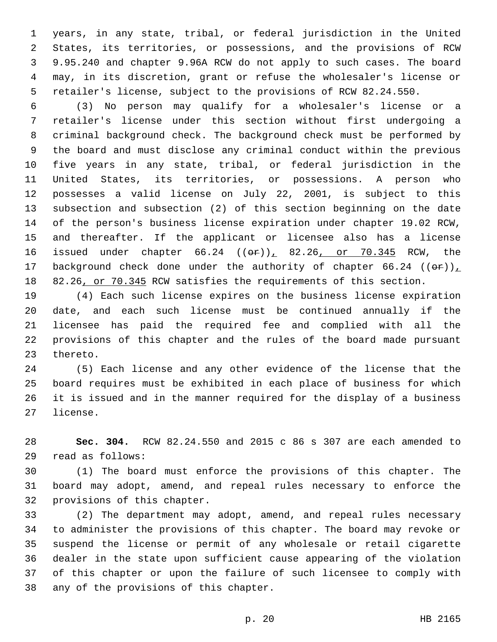years, in any state, tribal, or federal jurisdiction in the United States, its territories, or possessions, and the provisions of RCW 9.95.240 and chapter 9.96A RCW do not apply to such cases. The board may, in its discretion, grant or refuse the wholesaler's license or retailer's license, subject to the provisions of RCW 82.24.550.

 (3) No person may qualify for a wholesaler's license or a retailer's license under this section without first undergoing a criminal background check. The background check must be performed by the board and must disclose any criminal conduct within the previous five years in any state, tribal, or federal jurisdiction in the United States, its territories, or possessions. A person who possesses a valid license on July 22, 2001, is subject to this subsection and subsection (2) of this section beginning on the date of the person's business license expiration under chapter 19.02 RCW, and thereafter. If the applicant or licensee also has a license 16 issued under chapter  $66.24$   $((e\texttt{F}))$   $82.26$  or  $70.345$  RCW, the 17 background check done under the authority of chapter 66.24  $((\theta \cdot \mathbf{r}))_L$ 18 82.26, or 70.345 RCW satisfies the requirements of this section.

 (4) Each such license expires on the business license expiration date, and each such license must be continued annually if the licensee has paid the required fee and complied with all the provisions of this chapter and the rules of the board made pursuant 23 thereto.

 (5) Each license and any other evidence of the license that the board requires must be exhibited in each place of business for which it is issued and in the manner required for the display of a business 27 license.

 **Sec. 304.** RCW 82.24.550 and 2015 c 86 s 307 are each amended to read as follows:29

 (1) The board must enforce the provisions of this chapter. The board may adopt, amend, and repeal rules necessary to enforce the 32 provisions of this chapter.

 (2) The department may adopt, amend, and repeal rules necessary to administer the provisions of this chapter. The board may revoke or suspend the license or permit of any wholesale or retail cigarette dealer in the state upon sufficient cause appearing of the violation of this chapter or upon the failure of such licensee to comply with 38 any of the provisions of this chapter.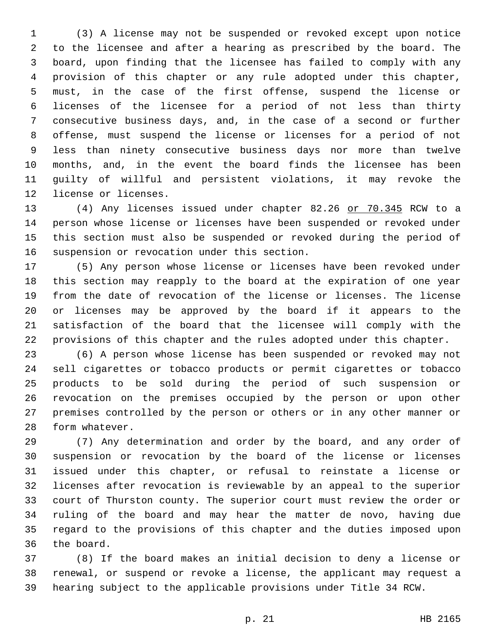(3) A license may not be suspended or revoked except upon notice to the licensee and after a hearing as prescribed by the board. The board, upon finding that the licensee has failed to comply with any provision of this chapter or any rule adopted under this chapter, must, in the case of the first offense, suspend the license or licenses of the licensee for a period of not less than thirty consecutive business days, and, in the case of a second or further offense, must suspend the license or licenses for a period of not less than ninety consecutive business days nor more than twelve months, and, in the event the board finds the licensee has been guilty of willful and persistent violations, it may revoke the 12 license or licenses.

 (4) Any licenses issued under chapter 82.26 or 70.345 RCW to a person whose license or licenses have been suspended or revoked under this section must also be suspended or revoked during the period of 16 suspension or revocation under this section.

 (5) Any person whose license or licenses have been revoked under this section may reapply to the board at the expiration of one year from the date of revocation of the license or licenses. The license or licenses may be approved by the board if it appears to the satisfaction of the board that the licensee will comply with the provisions of this chapter and the rules adopted under this chapter.

 (6) A person whose license has been suspended or revoked may not sell cigarettes or tobacco products or permit cigarettes or tobacco products to be sold during the period of such suspension or revocation on the premises occupied by the person or upon other premises controlled by the person or others or in any other manner or 28 form whatever.

 (7) Any determination and order by the board, and any order of suspension or revocation by the board of the license or licenses issued under this chapter, or refusal to reinstate a license or licenses after revocation is reviewable by an appeal to the superior court of Thurston county. The superior court must review the order or ruling of the board and may hear the matter de novo, having due regard to the provisions of this chapter and the duties imposed upon 36 the board.

 (8) If the board makes an initial decision to deny a license or renewal, or suspend or revoke a license, the applicant may request a hearing subject to the applicable provisions under Title 34 RCW.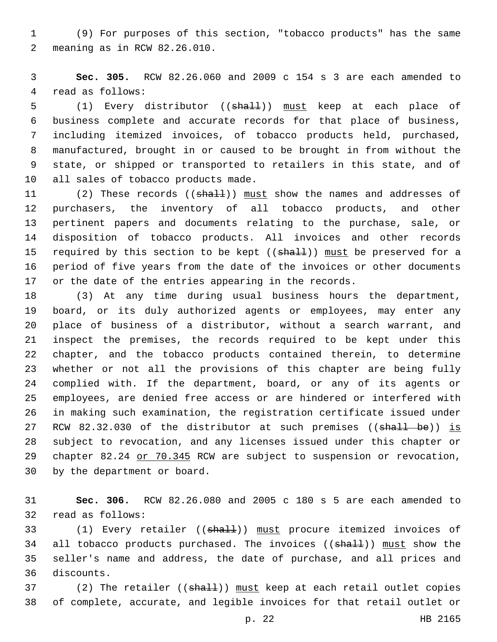(9) For purposes of this section, "tobacco products" has the same meaning as in RCW 82.26.010.2

 **Sec. 305.** RCW 82.26.060 and 2009 c 154 s 3 are each amended to 4 read as follows:

5 (1) Every distributor ((shall)) must keep at each place of business complete and accurate records for that place of business, including itemized invoices, of tobacco products held, purchased, manufactured, brought in or caused to be brought in from without the state, or shipped or transported to retailers in this state, and of 10 all sales of tobacco products made.

11 (2) These records ((shall)) must show the names and addresses of purchasers, the inventory of all tobacco products, and other pertinent papers and documents relating to the purchase, sale, or disposition of tobacco products. All invoices and other records 15 required by this section to be kept ((shall)) must be preserved for a period of five years from the date of the invoices or other documents or the date of the entries appearing in the records.

 (3) At any time during usual business hours the department, board, or its duly authorized agents or employees, may enter any place of business of a distributor, without a search warrant, and inspect the premises, the records required to be kept under this chapter, and the tobacco products contained therein, to determine whether or not all the provisions of this chapter are being fully complied with. If the department, board, or any of its agents or employees, are denied free access or are hindered or interfered with in making such examination, the registration certificate issued under 27 RCW 82.32.030 of the distributor at such premises ((shall be)) is subject to revocation, and any licenses issued under this chapter or 29 chapter 82.24 or 70.345 RCW are subject to suspension or revocation, 30 by the department or board.

 **Sec. 306.** RCW 82.26.080 and 2005 c 180 s 5 are each amended to 32 read as follows:

33 (1) Every retailer ((shall)) must procure itemized invoices of 34 all tobacco products purchased. The invoices ((shall)) must show the seller's name and address, the date of purchase, and all prices and 36 discounts.

37 (2) The retailer ((shall)) must keep at each retail outlet copies of complete, accurate, and legible invoices for that retail outlet or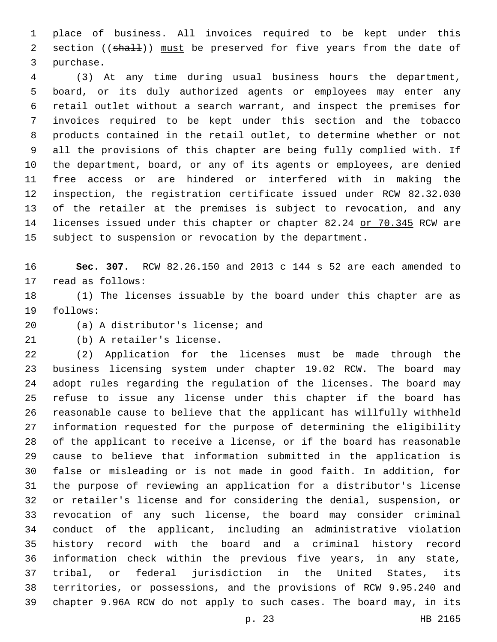place of business. All invoices required to be kept under this 2 section ((shall)) must be preserved for five years from the date of 3 purchase.

 (3) At any time during usual business hours the department, board, or its duly authorized agents or employees may enter any retail outlet without a search warrant, and inspect the premises for invoices required to be kept under this section and the tobacco products contained in the retail outlet, to determine whether or not all the provisions of this chapter are being fully complied with. If the department, board, or any of its agents or employees, are denied free access or are hindered or interfered with in making the inspection, the registration certificate issued under RCW 82.32.030 of the retailer at the premises is subject to revocation, and any 14 licenses issued under this chapter or chapter 82.24 or 70.345 RCW are subject to suspension or revocation by the department.

 **Sec. 307.** RCW 82.26.150 and 2013 c 144 s 52 are each amended to 17 read as follows:

 (1) The licenses issuable by the board under this chapter are as 19 follows:

20 (a) A distributor's license; and

21 (b) A retailer's license.

 (2) Application for the licenses must be made through the business licensing system under chapter 19.02 RCW. The board may adopt rules regarding the regulation of the licenses. The board may refuse to issue any license under this chapter if the board has reasonable cause to believe that the applicant has willfully withheld information requested for the purpose of determining the eligibility of the applicant to receive a license, or if the board has reasonable cause to believe that information submitted in the application is false or misleading or is not made in good faith. In addition, for the purpose of reviewing an application for a distributor's license or retailer's license and for considering the denial, suspension, or revocation of any such license, the board may consider criminal conduct of the applicant, including an administrative violation history record with the board and a criminal history record information check within the previous five years, in any state, tribal, or federal jurisdiction in the United States, its territories, or possessions, and the provisions of RCW 9.95.240 and chapter 9.96A RCW do not apply to such cases. The board may, in its

p. 23 HB 2165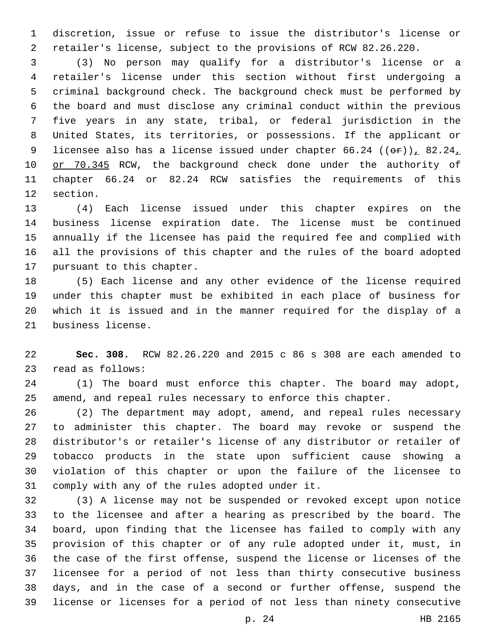discretion, issue or refuse to issue the distributor's license or retailer's license, subject to the provisions of RCW 82.26.220.

 (3) No person may qualify for a distributor's license or a retailer's license under this section without first undergoing a criminal background check. The background check must be performed by the board and must disclose any criminal conduct within the previous five years in any state, tribal, or federal jurisdiction in the United States, its territories, or possessions. If the applicant or 9 licensee also has a license issued under chapter  $66.24$  (( $\Theta$ r)),  $82.24$ 10 or 70.345 RCW, the background check done under the authority of chapter 66.24 or 82.24 RCW satisfies the requirements of this 12 section.

 (4) Each license issued under this chapter expires on the business license expiration date. The license must be continued annually if the licensee has paid the required fee and complied with all the provisions of this chapter and the rules of the board adopted 17 pursuant to this chapter.

 (5) Each license and any other evidence of the license required under this chapter must be exhibited in each place of business for which it is issued and in the manner required for the display of a 21 business license.

 **Sec. 308.** RCW 82.26.220 and 2015 c 86 s 308 are each amended to 23 read as follows:

 (1) The board must enforce this chapter. The board may adopt, amend, and repeal rules necessary to enforce this chapter.

 (2) The department may adopt, amend, and repeal rules necessary to administer this chapter. The board may revoke or suspend the distributor's or retailer's license of any distributor or retailer of tobacco products in the state upon sufficient cause showing a violation of this chapter or upon the failure of the licensee to 31 comply with any of the rules adopted under it.

 (3) A license may not be suspended or revoked except upon notice to the licensee and after a hearing as prescribed by the board. The board, upon finding that the licensee has failed to comply with any provision of this chapter or of any rule adopted under it, must, in the case of the first offense, suspend the license or licenses of the licensee for a period of not less than thirty consecutive business days, and in the case of a second or further offense, suspend the license or licenses for a period of not less than ninety consecutive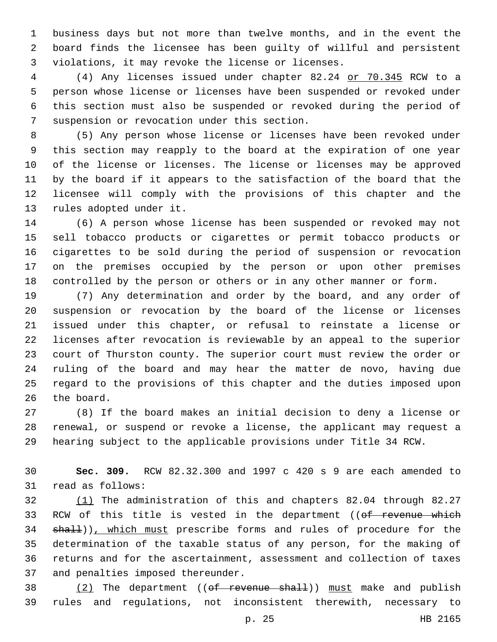business days but not more than twelve months, and in the event the board finds the licensee has been guilty of willful and persistent 3 violations, it may revoke the license or licenses.

 (4) Any licenses issued under chapter 82.24 or 70.345 RCW to a person whose license or licenses have been suspended or revoked under this section must also be suspended or revoked during the period of 7 suspension or revocation under this section.

 (5) Any person whose license or licenses have been revoked under this section may reapply to the board at the expiration of one year of the license or licenses. The license or licenses may be approved by the board if it appears to the satisfaction of the board that the licensee will comply with the provisions of this chapter and the 13 rules adopted under it.

 (6) A person whose license has been suspended or revoked may not sell tobacco products or cigarettes or permit tobacco products or cigarettes to be sold during the period of suspension or revocation on the premises occupied by the person or upon other premises controlled by the person or others or in any other manner or form.

 (7) Any determination and order by the board, and any order of suspension or revocation by the board of the license or licenses issued under this chapter, or refusal to reinstate a license or licenses after revocation is reviewable by an appeal to the superior court of Thurston county. The superior court must review the order or ruling of the board and may hear the matter de novo, having due regard to the provisions of this chapter and the duties imposed upon 26 the board.

 (8) If the board makes an initial decision to deny a license or renewal, or suspend or revoke a license, the applicant may request a hearing subject to the applicable provisions under Title 34 RCW.

 **Sec. 309.** RCW 82.32.300 and 1997 c 420 s 9 are each amended to 31 read as follows:

 (1) The administration of this and chapters 82.04 through 82.27 33 RCW of this title is vested in the department ((of revenue which 34 shall)), which must prescribe forms and rules of procedure for the determination of the taxable status of any person, for the making of returns and for the ascertainment, assessment and collection of taxes 37 and penalties imposed thereunder.

38  $(2)$  The department (( $ef$  revenue shall)) must make and publish rules and regulations, not inconsistent therewith, necessary to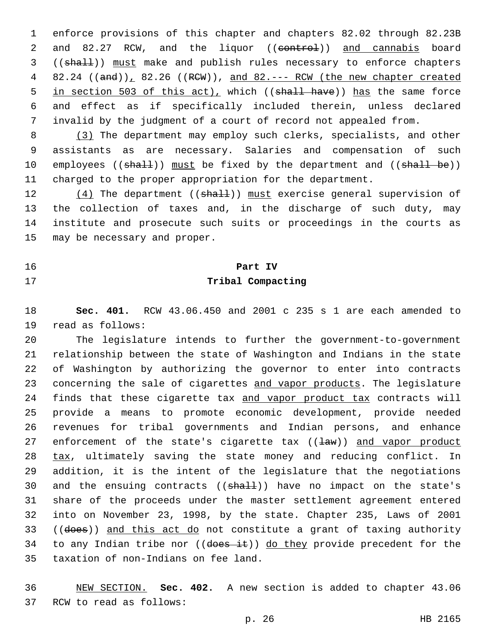1 enforce provisions of this chapter and chapters 82.02 through 82.23B 2 and 82.27 RCW, and the liquor ((eontrol)) and cannabis board 3 ((shall)) must make and publish rules necessary to enforce chapters 4 82.24 ((and)), 82.26 ((RCW)), and 82.--- RCW (the new chapter created 5 in section 503 of this act), which ((shall have)) has the same force 6 and effect as if specifically included therein, unless declared 7 invalid by the judgment of a court of record not appealed from.

8 (3) The department may employ such clerks, specialists, and other 9 assistants as are necessary. Salaries and compensation of such 10 employees ((shall)) must be fixed by the department and ((shall be)) 11 charged to the proper appropriation for the department.

12 (4) The department ((shall)) must exercise general supervision of 13 the collection of taxes and, in the discharge of such duty, may 14 institute and prosecute such suits or proceedings in the courts as 15 may be necessary and proper.

#### 16 **Part IV**

#### 17 **Tribal Compacting**

18 **Sec. 401.** RCW 43.06.450 and 2001 c 235 s 1 are each amended to 19 read as follows:

20 The legislature intends to further the government-to-government 21 relationship between the state of Washington and Indians in the state 22 of Washington by authorizing the governor to enter into contracts 23 concerning the sale of cigarettes and vapor products. The legislature 24 finds that these cigarette tax and vapor product tax contracts will 25 provide a means to promote economic development, provide needed 26 revenues for tribal governments and Indian persons, and enhance 27 enforcement of the state's cigarette  $\text{tax } ((\text{law}))$  and vapor product 28 tax, ultimately saving the state money and reducing conflict. In 29 addition, it is the intent of the legislature that the negotiations 30 and the ensuing contracts  $((shall))$  have no impact on the state's 31 share of the proceeds under the master settlement agreement entered 32 into on November 23, 1998, by the state. Chapter 235, Laws of 2001 33 ((does)) and this act do not constitute a grant of taxing authority 34 to any Indian tribe nor  $((\text{does it}))$  do they provide precedent for the 35 taxation of non-Indians on fee land.

36 NEW SECTION. **Sec. 402.** A new section is added to chapter 43.06 37 RCW to read as follows: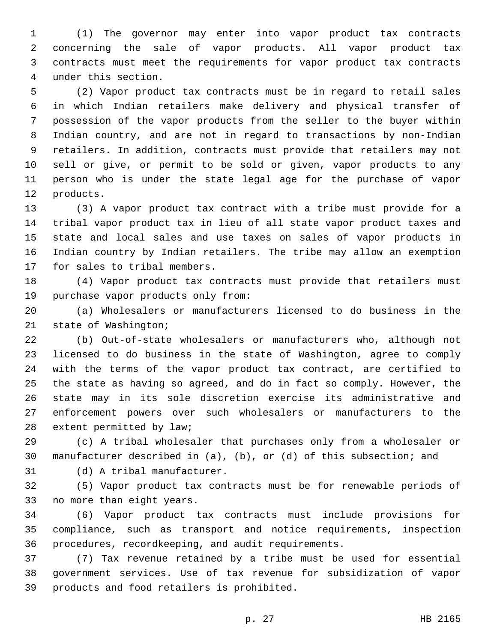(1) The governor may enter into vapor product tax contracts concerning the sale of vapor products. All vapor product tax contracts must meet the requirements for vapor product tax contracts under this section.4

 (2) Vapor product tax contracts must be in regard to retail sales in which Indian retailers make delivery and physical transfer of possession of the vapor products from the seller to the buyer within Indian country, and are not in regard to transactions by non-Indian retailers. In addition, contracts must provide that retailers may not sell or give, or permit to be sold or given, vapor products to any person who is under the state legal age for the purchase of vapor 12 products.

 (3) A vapor product tax contract with a tribe must provide for a tribal vapor product tax in lieu of all state vapor product taxes and state and local sales and use taxes on sales of vapor products in Indian country by Indian retailers. The tribe may allow an exemption 17 for sales to tribal members.

 (4) Vapor product tax contracts must provide that retailers must 19 purchase vapor products only from:

 (a) Wholesalers or manufacturers licensed to do business in the 21 state of Washington;

 (b) Out-of-state wholesalers or manufacturers who, although not licensed to do business in the state of Washington, agree to comply with the terms of the vapor product tax contract, are certified to the state as having so agreed, and do in fact so comply. However, the state may in its sole discretion exercise its administrative and enforcement powers over such wholesalers or manufacturers to the 28 extent permitted by law;

 (c) A tribal wholesaler that purchases only from a wholesaler or manufacturer described in (a), (b), or (d) of this subsection; and

31 (d) A tribal manufacturer.

 (5) Vapor product tax contracts must be for renewable periods of 33 no more than eight years.

 (6) Vapor product tax contracts must include provisions for compliance, such as transport and notice requirements, inspection procedures, recordkeeping, and audit requirements.

 (7) Tax revenue retained by a tribe must be used for essential government services. Use of tax revenue for subsidization of vapor 39 products and food retailers is prohibited.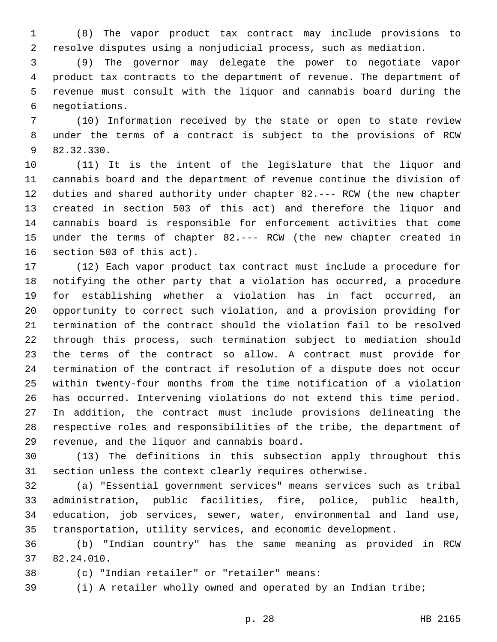(8) The vapor product tax contract may include provisions to resolve disputes using a nonjudicial process, such as mediation.

 (9) The governor may delegate the power to negotiate vapor product tax contracts to the department of revenue. The department of revenue must consult with the liquor and cannabis board during the negotiations.6

 (10) Information received by the state or open to state review under the terms of a contract is subject to the provisions of RCW 9 82.32.330.

 (11) It is the intent of the legislature that the liquor and cannabis board and the department of revenue continue the division of duties and shared authority under chapter 82.--- RCW (the new chapter created in section 503 of this act) and therefore the liquor and cannabis board is responsible for enforcement activities that come under the terms of chapter 82.--- RCW (the new chapter created in 16 section 503 of this act).

 (12) Each vapor product tax contract must include a procedure for notifying the other party that a violation has occurred, a procedure for establishing whether a violation has in fact occurred, an opportunity to correct such violation, and a provision providing for termination of the contract should the violation fail to be resolved through this process, such termination subject to mediation should the terms of the contract so allow. A contract must provide for termination of the contract if resolution of a dispute does not occur within twenty-four months from the time notification of a violation has occurred. Intervening violations do not extend this time period. In addition, the contract must include provisions delineating the respective roles and responsibilities of the tribe, the department of 29 revenue, and the liquor and cannabis board.

 (13) The definitions in this subsection apply throughout this section unless the context clearly requires otherwise.

 (a) "Essential government services" means services such as tribal administration, public facilities, fire, police, public health, education, job services, sewer, water, environmental and land use, transportation, utility services, and economic development.

 (b) "Indian country" has the same meaning as provided in RCW 82.24.010.37

- 
- (c) "Indian retailer" or "retailer" means:38

(i) A retailer wholly owned and operated by an Indian tribe;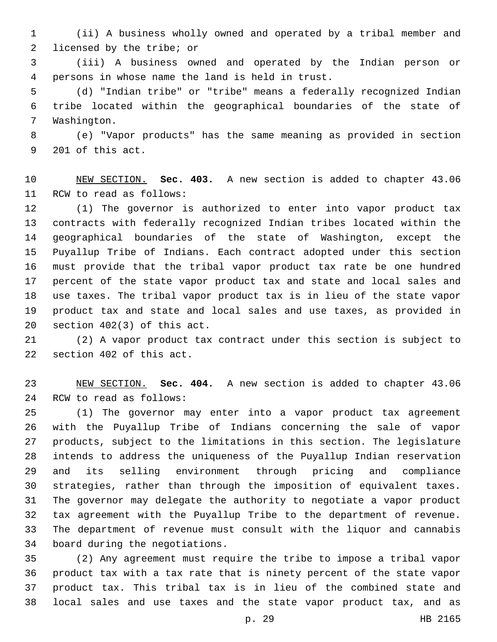(ii) A business wholly owned and operated by a tribal member and 2 licensed by the tribe; or

 (iii) A business owned and operated by the Indian person or persons in whose name the land is held in trust.4

 (d) "Indian tribe" or "tribe" means a federally recognized Indian tribe located within the geographical boundaries of the state of 7 Washington.

 (e) "Vapor products" has the same meaning as provided in section 9 201 of this act.

 NEW SECTION. **Sec. 403.** A new section is added to chapter 43.06 11 RCW to read as follows:

 (1) The governor is authorized to enter into vapor product tax contracts with federally recognized Indian tribes located within the geographical boundaries of the state of Washington, except the Puyallup Tribe of Indians. Each contract adopted under this section must provide that the tribal vapor product tax rate be one hundred percent of the state vapor product tax and state and local sales and use taxes. The tribal vapor product tax is in lieu of the state vapor product tax and state and local sales and use taxes, as provided in 20 section  $402(3)$  of this act.

 (2) A vapor product tax contract under this section is subject to 22 section 402 of this act.

 NEW SECTION. **Sec. 404.** A new section is added to chapter 43.06 24 RCW to read as follows:

 (1) The governor may enter into a vapor product tax agreement with the Puyallup Tribe of Indians concerning the sale of vapor products, subject to the limitations in this section. The legislature intends to address the uniqueness of the Puyallup Indian reservation and its selling environment through pricing and compliance strategies, rather than through the imposition of equivalent taxes. The governor may delegate the authority to negotiate a vapor product tax agreement with the Puyallup Tribe to the department of revenue. The department of revenue must consult with the liquor and cannabis 34 board during the negotiations.

 (2) Any agreement must require the tribe to impose a tribal vapor product tax with a tax rate that is ninety percent of the state vapor product tax. This tribal tax is in lieu of the combined state and local sales and use taxes and the state vapor product tax, and as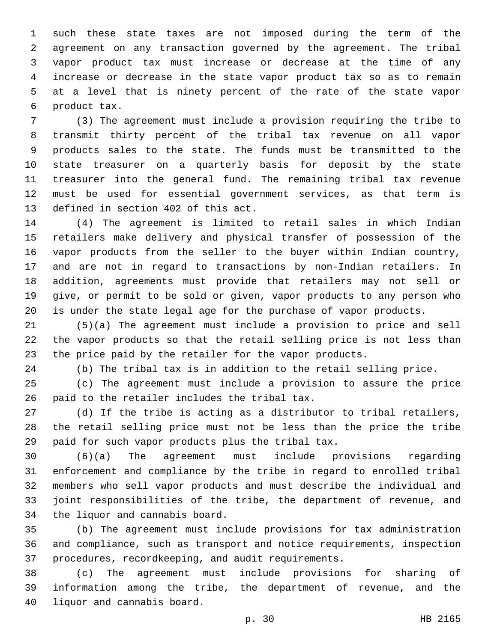such these state taxes are not imposed during the term of the agreement on any transaction governed by the agreement. The tribal vapor product tax must increase or decrease at the time of any increase or decrease in the state vapor product tax so as to remain at a level that is ninety percent of the rate of the state vapor 6 product tax.

 (3) The agreement must include a provision requiring the tribe to transmit thirty percent of the tribal tax revenue on all vapor products sales to the state. The funds must be transmitted to the state treasurer on a quarterly basis for deposit by the state treasurer into the general fund. The remaining tribal tax revenue must be used for essential government services, as that term is 13 defined in section 402 of this act.

 (4) The agreement is limited to retail sales in which Indian retailers make delivery and physical transfer of possession of the vapor products from the seller to the buyer within Indian country, and are not in regard to transactions by non-Indian retailers. In addition, agreements must provide that retailers may not sell or give, or permit to be sold or given, vapor products to any person who is under the state legal age for the purchase of vapor products.

 (5)(a) The agreement must include a provision to price and sell the vapor products so that the retail selling price is not less than the price paid by the retailer for the vapor products.

(b) The tribal tax is in addition to the retail selling price.

 (c) The agreement must include a provision to assure the price 26 paid to the retailer includes the tribal tax.

 (d) If the tribe is acting as a distributor to tribal retailers, the retail selling price must not be less than the price the tribe 29 paid for such vapor products plus the tribal tax.

 (6)(a) The agreement must include provisions regarding enforcement and compliance by the tribe in regard to enrolled tribal members who sell vapor products and must describe the individual and joint responsibilities of the tribe, the department of revenue, and 34 the liquor and cannabis board.

 (b) The agreement must include provisions for tax administration and compliance, such as transport and notice requirements, inspection procedures, recordkeeping, and audit requirements.

 (c) The agreement must include provisions for sharing of information among the tribe, the department of revenue, and the 40 liquor and cannabis board.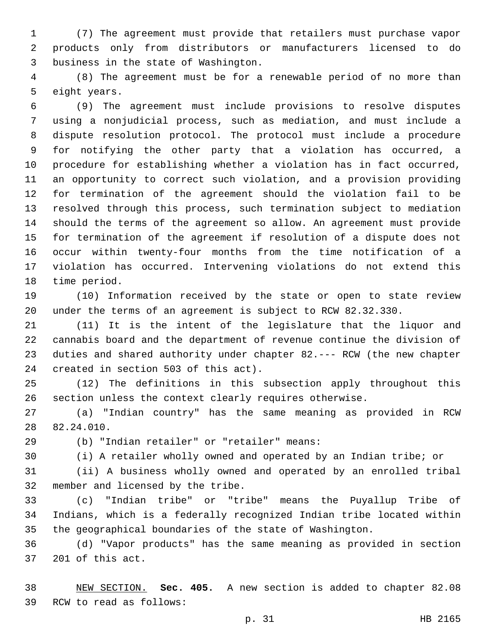(7) The agreement must provide that retailers must purchase vapor products only from distributors or manufacturers licensed to do 3 business in the state of Washington.

 (8) The agreement must be for a renewable period of no more than 5 eight years.

 (9) The agreement must include provisions to resolve disputes using a nonjudicial process, such as mediation, and must include a dispute resolution protocol. The protocol must include a procedure for notifying the other party that a violation has occurred, a procedure for establishing whether a violation has in fact occurred, an opportunity to correct such violation, and a provision providing for termination of the agreement should the violation fail to be resolved through this process, such termination subject to mediation should the terms of the agreement so allow. An agreement must provide for termination of the agreement if resolution of a dispute does not occur within twenty-four months from the time notification of a violation has occurred. Intervening violations do not extend this 18 time period.

 (10) Information received by the state or open to state review under the terms of an agreement is subject to RCW 82.32.330.

 (11) It is the intent of the legislature that the liquor and cannabis board and the department of revenue continue the division of duties and shared authority under chapter 82.--- RCW (the new chapter 24 created in section 503 of this act).

 (12) The definitions in this subsection apply throughout this section unless the context clearly requires otherwise.

 (a) "Indian country" has the same meaning as provided in RCW 28 82.24.010.

(b) "Indian retailer" or "retailer" means:29

(i) A retailer wholly owned and operated by an Indian tribe; or

 (ii) A business wholly owned and operated by an enrolled tribal 32 member and licensed by the tribe.

 (c) "Indian tribe" or "tribe" means the Puyallup Tribe of Indians, which is a federally recognized Indian tribe located within the geographical boundaries of the state of Washington.

 (d) "Vapor products" has the same meaning as provided in section 37 201 of this act.

 NEW SECTION. **Sec. 405.** A new section is added to chapter 82.08 39 RCW to read as follows: